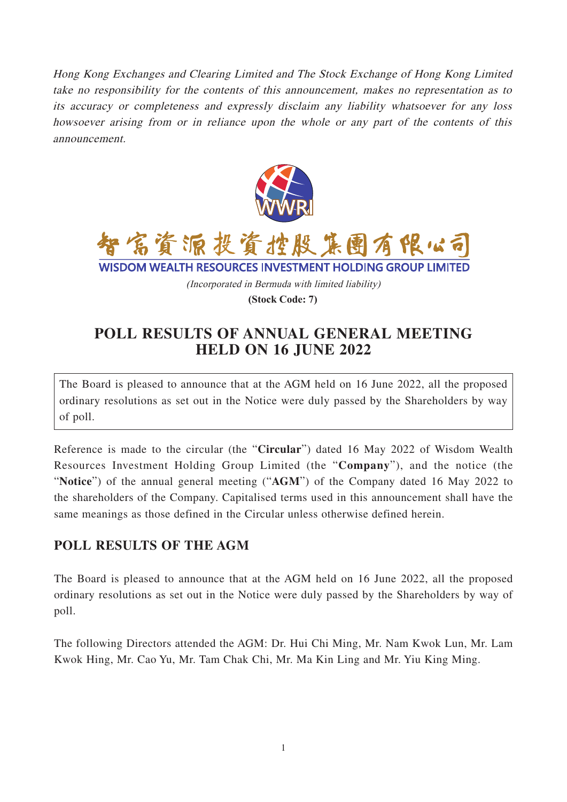Hong Kong Exchanges and Clearing Limited and The Stock Exchange of Hong Kong Limited take no responsibility for the contents of this announcement, makes no representation as to its accuracy or completeness and expressly disclaim any liability whatsoever for any loss howsoever arising from or in reliance upon the whole or any part of the contents of this announcement.



富資源投資控股集團有限心百

WISDOM WEALTH RESOURCES INVESTMENT HOLDING GROUP LIMITED

(Incorporated in Bermuda with limited liability) **(Stock Code: 7)** 

**POLL RESULTS OF ANNUAL GENERAL MEETING HELD ON 16 JUNE 2022**

The Board is pleased to announce that at the AGM held on 16 June 2022, all the proposed ordinary resolutions as set out in the Notice were duly passed by the Shareholders by way of poll.

Reference is made to the circular (the "**Circular**") dated 16 May 2022 of Wisdom Wealth Resources Investment Holding Group Limited (the "**Company**"), and the notice (the "**Notice**") of the annual general meeting ("**AGM**") of the Company dated 16 May 2022 to the shareholders of the Company. Capitalised terms used in this announcement shall have the same meanings as those defined in the Circular unless otherwise defined herein.

## **POLL RESULTS OF THE AGM**

The Board is pleased to announce that at the AGM held on 16 June 2022, all the proposed ordinary resolutions as set out in the Notice were duly passed by the Shareholders by way of poll.

The following Directors attended the AGM: Dr. Hui Chi Ming, Mr. Nam Kwok Lun, Mr. Lam Kwok Hing, Mr. Cao Yu, Mr. Tam Chak Chi, Mr. Ma Kin Ling and Mr. Yiu King Ming.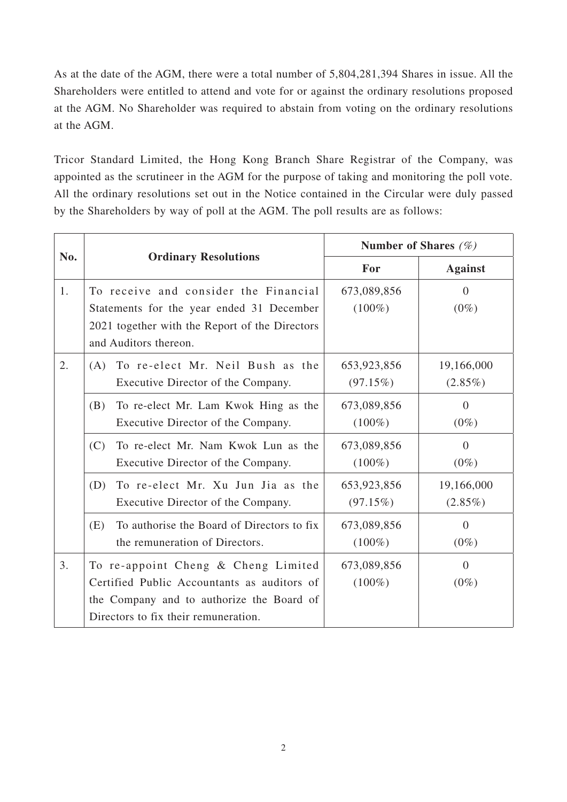As at the date of the AGM, there were a total number of 5,804,281,394 Shares in issue. All the Shareholders were entitled to attend and vote for or against the ordinary resolutions proposed at the AGM. No Shareholder was required to abstain from voting on the ordinary resolutions at the AGM.

Tricor Standard Limited, the Hong Kong Branch Share Registrar of the Company, was appointed as the scrutineer in the AGM for the purpose of taking and monitoring the poll vote. All the ordinary resolutions set out in the Notice contained in the Circular were duly passed by the Shareholders by way of poll at the AGM. The poll results are as follows:

| No. | <b>Ordinary Resolutions</b>                                                                                                                                             | Number of Shares $(\%)$  |                          |
|-----|-------------------------------------------------------------------------------------------------------------------------------------------------------------------------|--------------------------|--------------------------|
|     |                                                                                                                                                                         | For                      | <b>Against</b>           |
| 1.  | To receive and consider the Financial<br>Statements for the year ended 31 December<br>2021 together with the Report of the Directors<br>and Auditors thereon.           | 673,089,856<br>$(100\%)$ | $\Omega$<br>$(0\%)$      |
| 2.  | (A) To re-elect Mr. Neil Bush as the<br>Executive Director of the Company.                                                                                              | 653,923,856<br>(97.15%)  | 19,166,000<br>$(2.85\%)$ |
|     | To re-elect Mr. Lam Kwok Hing as the<br>(B)<br>Executive Director of the Company.                                                                                       | 673,089,856<br>$(100\%)$ | $\Omega$<br>$(0\%)$      |
|     | To re-elect Mr. Nam Kwok Lun as the<br>(C)<br>Executive Director of the Company.                                                                                        | 673,089,856<br>$(100\%)$ | $\Omega$<br>$(0\%)$      |
|     | To re-elect Mr. Xu Jun Jia as the<br>(D)<br>Executive Director of the Company.                                                                                          | 653,923,856<br>(97.15%)  | 19,166,000<br>$(2.85\%)$ |
|     | To authorise the Board of Directors to fix<br>(E)<br>the remuneration of Directors.                                                                                     | 673,089,856<br>$(100\%)$ | $\Omega$<br>$(0\%)$      |
| 3.  | To re-appoint Cheng & Cheng Limited<br>Certified Public Accountants as auditors of<br>the Company and to authorize the Board of<br>Directors to fix their remuneration. | 673,089,856<br>$(100\%)$ | $\Omega$<br>$(0\%)$      |